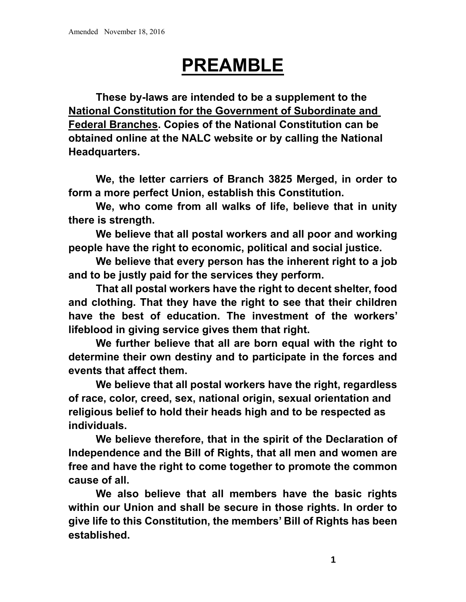# **PREAMBLE**

 **These by-laws are intended to be a supplement to the National Constitution for the Government of Subordinate and Federal Branches. Copies of the National Constitution can be obtained online at the NALC website or by calling the National Headquarters.** 

 **We, the letter carriers of Branch 3825 Merged, in order to form a more perfect Union, establish this Constitution.** 

 **We, who come from all walks of life, believe that in unity there is strength.** 

 **We believe that all postal workers and all poor and working people have the right to economic, political and social justice.** 

 **We believe that every person has the inherent right to a job and to be justly paid for the services they perform.** 

 **That all postal workers have the right to decent shelter, food and clothing. That they have the right to see that their children have the best of education. The investment of the workers' lifeblood in giving service gives them that right.** 

 **We further believe that all are born equal with the right to determine their own destiny and to participate in the forces and events that affect them.** 

 **We believe that all postal workers have the right, regardless of race, color, creed, sex, national origin, sexual orientation and religious belief to hold their heads high and to be respected as individuals.** 

**We believe therefore, that in the spirit of the Declaration of Independence and the Bill of Rights, that all men and women are free and have the right to come together to promote the common cause of all.** 

 **We also believe that all members have the basic rights within our Union and shall be secure in those rights. In order to give life to this Constitution, the members' Bill of Rights has been established.**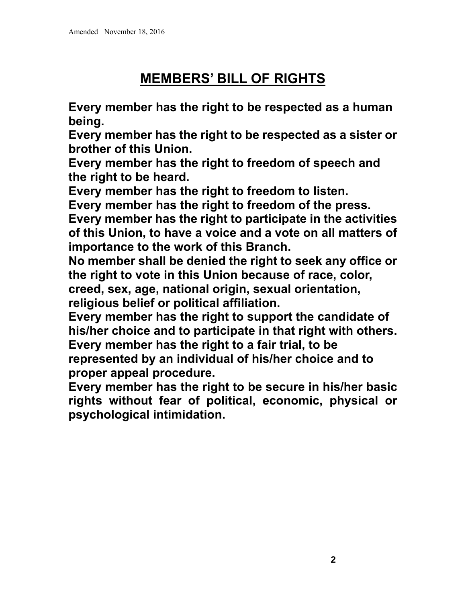# **MEMBERS' BILL OF RIGHTS**

**Every member has the right to be respected as a human being.** 

**Every member has the right to be respected as a sister or brother of this Union.** 

**Every member has the right to freedom of speech and the right to be heard.** 

**Every member has the right to freedom to listen.** 

**Every member has the right to freedom of the press.** 

**Every member has the right to participate in the activities of this Union, to have a voice and a vote on all matters of importance to the work of this Branch.** 

**No member shall be denied the right to seek any office or the right to vote in this Union because of race, color, creed, sex, age, national origin, sexual orientation, religious belief or political affiliation.** 

**Every member has the right to support the candidate of his/her choice and to participate in that right with others. Every member has the right to a fair trial, to be represented by an individual of his/her choice and to proper appeal procedure.** 

**Every member has the right to be secure in his/her basic rights without fear of political, economic, physical or psychological intimidation.**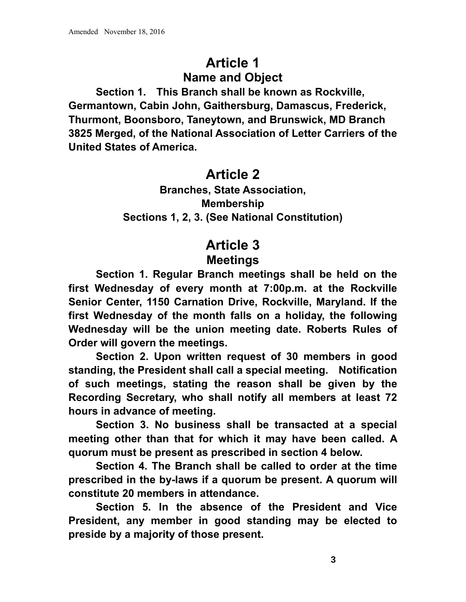## **Article 1 Name and Object**

 **Section 1. This Branch shall be known as Rockville, Germantown, Cabin John, Gaithersburg, Damascus, Frederick, Thurmont, Boonsboro, Taneytown, and Brunswick, MD Branch 3825 Merged, of the National Association of Letter Carriers of the United States of America.** 

### **Article 2**

**Branches, State Association, Membership Sections 1, 2, 3. (See National Constitution)** 

## **Article 3 Meetings**

 **Section 1. Regular Branch meetings shall be held on the first Wednesday of every month at 7:00p.m. at the Rockville Senior Center, 1150 Carnation Drive, Rockville, Maryland. If the first Wednesday of the month falls on a holiday, the following Wednesday will be the union meeting date. Roberts Rules of Order will govern the meetings.** 

 **Section 2. Upon written request of 30 members in good standing, the President shall call a special meeting. Notification of such meetings, stating the reason shall be given by the Recording Secretary, who shall notify all members at least 72 hours in advance of meeting.** 

 **Section 3. No business shall be transacted at a special meeting other than that for which it may have been called. A quorum must be present as prescribed in section 4 below.** 

 **Section 4. The Branch shall be called to order at the time prescribed in the by-laws if a quorum be present. A quorum will constitute 20 members in attendance.** 

 **Section 5. In the absence of the President and Vice President, any member in good standing may be elected to preside by a majority of those present.**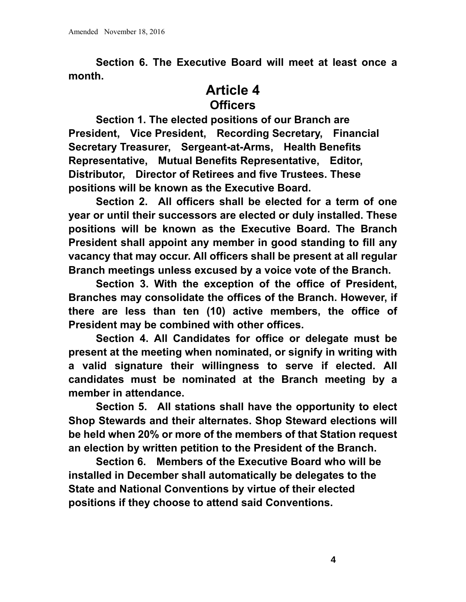**Section 6. The Executive Board will meet at least once a month.** 

### **Article 4 Officers**

 **Section 1. The elected positions of our Branch are President, Vice President, Recording Secretary, Financial Secretary Treasurer, Sergeant-at-Arms, Health Benefits Representative, Mutual Benefits Representative, Editor, Distributor, Director of Retirees and five Trustees. These positions will be known as the Executive Board.** 

 **Section 2. All officers shall be elected for a term of one year or until their successors are elected or duly installed. These positions will be known as the Executive Board. The Branch President shall appoint any member in good standing to fill any vacancy that may occur. All officers shall be present at all regular Branch meetings unless excused by a voice vote of the Branch.** 

 **Section 3. With the exception of the office of President, Branches may consolidate the offices of the Branch. However, if there are less than ten (10) active members, the office of President may be combined with other offices.** 

 **Section 4. All Candidates for office or delegate must be present at the meeting when nominated, or signify in writing with a valid signature their willingness to serve if elected. All candidates must be nominated at the Branch meeting by a member in attendance.** 

 **Section 5. All stations shall have the opportunity to elect Shop Stewards and their alternates. Shop Steward elections will be held when 20% or more of the members of that Station request an election by written petition to the President of the Branch.**

 **Section 6. Members of the Executive Board who will be installed in December shall automatically be delegates to the State and National Conventions by virtue of their elected positions if they choose to attend said Conventions.**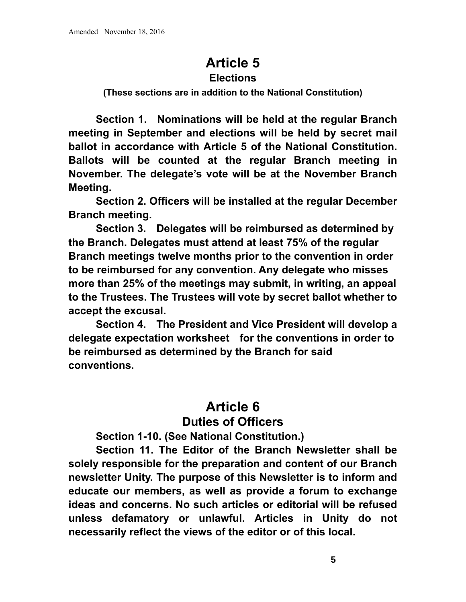## **Article 5**

#### **Elections**

**(These sections are in addition to the National Constitution)** 

 **Section 1. Nominations will be held at the regular Branch meeting in September and elections will be held by secret mail ballot in accordance with Article 5 of the National Constitution. Ballots will be counted at the regular Branch meeting in November. The delegate's vote will be at the November Branch Meeting.** 

 **Section 2. Officers will be installed at the regular December Branch meeting.** 

 **Section 3. Delegates will be reimbursed as determined by the Branch. Delegates must attend at least 75% of the regular Branch meetings twelve months prior to the convention in order to be reimbursed for any convention. Any delegate who misses more than 25% of the meetings may submit, in writing, an appeal to the Trustees. The Trustees will vote by secret ballot whether to accept the excusal.** 

 **Section 4. The President and Vice President will develop a delegate expectation worksheet for the conventions in order to be reimbursed as determined by the Branch for said conventions.**

#### **Article 6 Duties of Officers**

 **Section 1-10. (See National Constitution.)** 

 **Section 11. The Editor of the Branch Newsletter shall be solely responsible for the preparation and content of our Branch newsletter Unity. The purpose of this Newsletter is to inform and educate our members, as well as provide a forum to exchange ideas and concerns. No such articles or editorial will be refused unless defamatory or unlawful. Articles in Unity do not necessarily reflect the views of the editor or of this local.**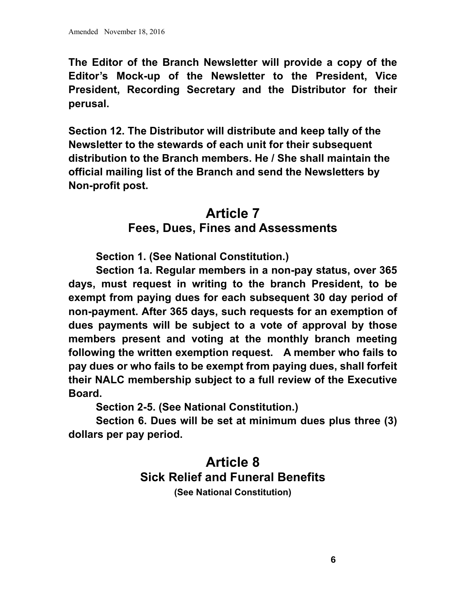**The Editor of the Branch Newsletter will provide a copy of the Editor's Mock-up of the Newsletter to the President, Vice President, Recording Secretary and the Distributor for their perusal.** 

**Section 12. The Distributor will distribute and keep tally of the Newsletter to the stewards of each unit for their subsequent distribution to the Branch members. He / She shall maintain the official mailing list of the Branch and send the Newsletters by Non-profit post.** 

## **Article 7 Fees, Dues, Fines and Assessments**

 **Section 1. (See National Constitution.)** 

 **Section 1a. Regular members in a non-pay status, over 365 days, must request in writing to the branch President, to be exempt from paying dues for each subsequent 30 day period of non-payment. After 365 days, such requests for an exemption of dues payments will be subject to a vote of approval by those members present and voting at the monthly branch meeting following the written exemption request. A member who fails to pay dues or who fails to be exempt from paying dues, shall forfeit their NALC membership subject to a full review of the Executive Board.** 

 **Section 2-5. (See National Constitution.)** 

 **Section 6. Dues will be set at minimum dues plus three (3) dollars per pay period.** 

#### **Article 8 Sick Relief and Funeral Benefits (See National Constitution)**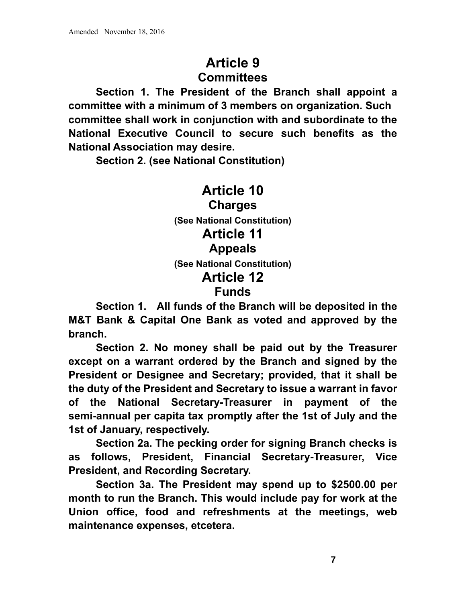## **Article 9 Committees**

 **Section 1. The President of the Branch shall appoint a committee with a minimum of 3 members on organization. Such committee shall work in conjunction with and subordinate to the National Executive Council to secure such benefits as the National Association may desire.** 

 **Section 2. (see National Constitution)** 

#### **Article 10 Charges (See National Constitution) Article 11 Appeals (See National Constitution) Article 12 Funds**

 **Section 1. All funds of the Branch will be deposited in the M&T Bank & Capital One Bank as voted and approved by the branch.** 

 **Section 2. No money shall be paid out by the Treasurer except on a warrant ordered by the Branch and signed by the President or Designee and Secretary; provided, that it shall be the duty of the President and Secretary to issue a warrant in favor of the National Secretary-Treasurer in payment of the semi-annual per capita tax promptly after the 1st of July and the 1st of January, respectively.** 

 **Section 2a. The pecking order for signing Branch checks is as follows, President, Financial Secretary-Treasurer, Vice President, and Recording Secretary.** 

 **Section 3a. The President may spend up to \$2500.00 per month to run the Branch. This would include pay for work at the Union office, food and refreshments at the meetings, web maintenance expenses, etcetera.**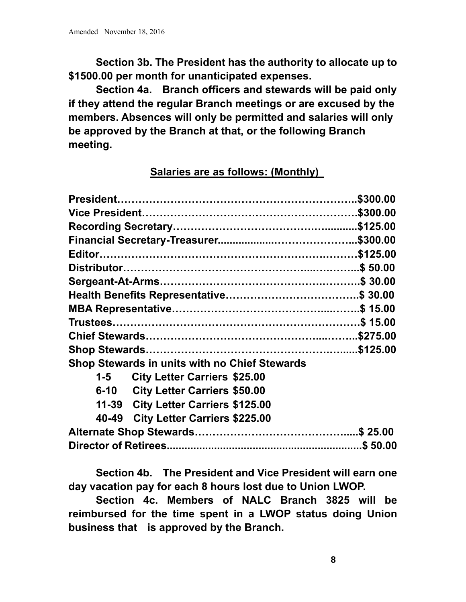**Section 3b. The President has the authority to allocate up to \$1500.00 per month for unanticipated expenses.** 

 **Section 4a. Branch officers and stewards will be paid only if they attend the regular Branch meetings or are excused by the members. Absences will only be permitted and salaries will only be approved by the Branch at that, or the following Branch meeting.** 

#### **Salaries are as follows: (Monthly)**

|       | <b>Shop Stewards in units with no Chief Stewards</b> |  |
|-------|------------------------------------------------------|--|
| $1-5$ | <b>City Letter Carriers \$25.00</b>                  |  |
|       | 6-10 City Letter Carriers \$50.00                    |  |
|       | 11-39 City Letter Carriers \$125.00                  |  |
|       | 40-49 City Letter Carriers \$225.00                  |  |
|       |                                                      |  |
|       |                                                      |  |

 **Section 4b. The President and Vice President will earn one day vacation pay for each 8 hours lost due to Union LWOP.** 

 **Section 4c. Members of NALC Branch 3825 will be reimbursed for the time spent in a LWOP status doing Union business that is approved by the Branch.**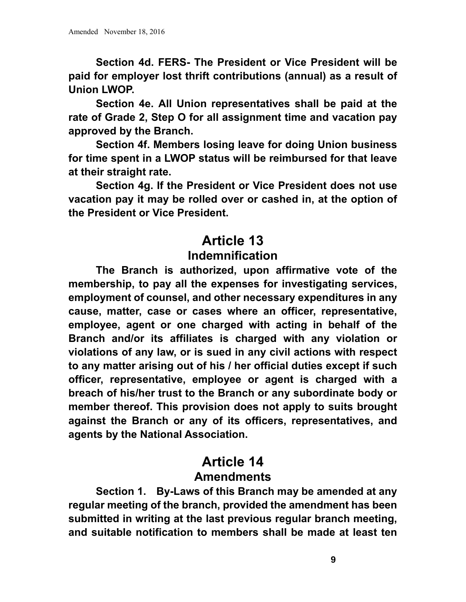**Section 4d. FERS- The President or Vice President will be paid for employer lost thrift contributions (annual) as a result of Union LWOP.** 

 **Section 4e. All Union representatives shall be paid at the rate of Grade 2, Step O for all assignment time and vacation pay approved by the Branch.** 

 **Section 4f. Members losing leave for doing Union business for time spent in a LWOP status will be reimbursed for that leave at their straight rate.** 

 **Section 4g. If the President or Vice President does not use vacation pay it may be rolled over or cashed in, at the option of the President or Vice President.** 

## **Article 13 Indemnification**

 **The Branch is authorized, upon affirmative vote of the membership, to pay all the expenses for investigating services, employment of counsel, and other necessary expenditures in any cause, matter, case or cases where an officer, representative, employee, agent or one charged with acting in behalf of the Branch and/or its affiliates is charged with any violation or violations of any law, or is sued in any civil actions with respect to any matter arising out of his / her official duties except if such officer, representative, employee or agent is charged with a breach of his/her trust to the Branch or any subordinate body or member thereof. This provision does not apply to suits brought against the Branch or any of its officers, representatives, and agents by the National Association.** 

## **Article 14 Amendments**

 **Section 1. By-Laws of this Branch may be amended at any regular meeting of the branch, provided the amendment has been submitted in writing at the last previous regular branch meeting, and suitable notification to members shall be made at least ten**